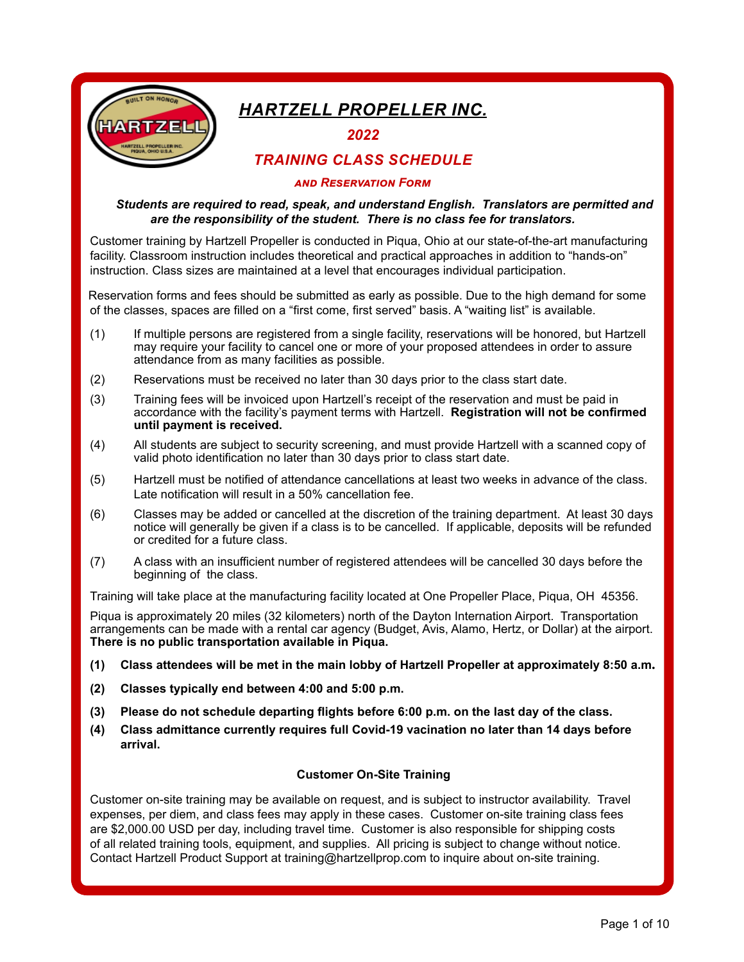

# *Hartzell Propeller Inc.*

*2022*

# *Training Class Schedule*

#### *and Reservation Form*

## *Students are required to read, speak, and understand English. Translators are permitted and are the responsibility of the student. There is no class fee for translators.*

Customer training by Hartzell Propeller is conducted in Piqua, Ohio at our state-of-the-art manufacturing facility. Classroom instruction includes theoretical and practical approaches in addition to "hands-on" instruction. Class sizes are maintained at a level that encourages individual participation.

 Reservation forms and fees should be submitted as early as possible. Due to the high demand for some of the classes, spaces are filled on a "first come, first served" basis. A "waiting list" is available.

- (1) If multiple persons are registered from a single facility, reservations will be honored, but Hartzell may require your facility to cancel one or more of your proposed attendees in order to assure attendance from as many facilities as possible.
- (2) Reservations must be received no later than 30 days prior to the class start date.
- (3) Training fees will be invoiced upon Hartzell's receipt of the reservation and must be paid in accordance with the facility's payment terms with Hartzell. **Registration will not be confirmed until payment is received.**
- (4) All students are subject to security screening, and must provide Hartzell with a scanned copy of valid photo identification no later than 30 days prior to class start date.
- (5) Hartzell must be notified of attendance cancellations at least two weeks in advance of the class. Late notification will result in a 50% cancellation fee.
- (6) Classes may be added or cancelled at the discretion of the training department. At least 30 days notice will generally be given if a class is to be cancelled. If applicable, deposits will be refunded or credited for a future class.
- (7) A class with an insufficient number of registered attendees will be cancelled 30 days before the beginning of the class.

Training will take place at the manufacturing facility located at One Propeller Place, Piqua, OH 45356.

Piqua is approximately 20 miles (32 kilometers) north of the Dayton Internation Airport. Transportation arrangements can be made with a rental car agency (Budget, Avis, Alamo, Hertz, or Dollar) at the airport. **There is no public transportation available in Piqua.**

- **(1) Class attendees will be met in the main lobby of Hartzell Propeller at approximately 8:50 a.m.**
- **(2) Classes typically end between 4:00 and 5:00 p.m.**
- **(3) Please do not schedule departing flights before 6:00 p.m. on the last day of the class.**
- **(4) Class admittance currently requires full Covid-19 vacination no later than 14 days before arrival.**

#### **Customer On-Site Training**

Customer on-site training may be available on request, and is subject to instructor availability. Travel expenses, per diem, and class fees may apply in these cases. Customer on-site training class fees are \$2,000.00 USD per day, including travel time. Customer is also responsible for shipping costs of all related training tools, equipment, and supplies. All pricing is subject to change without notice. Contact Hartzell Product Support at training@hartzellprop.com to inquire about on-site training.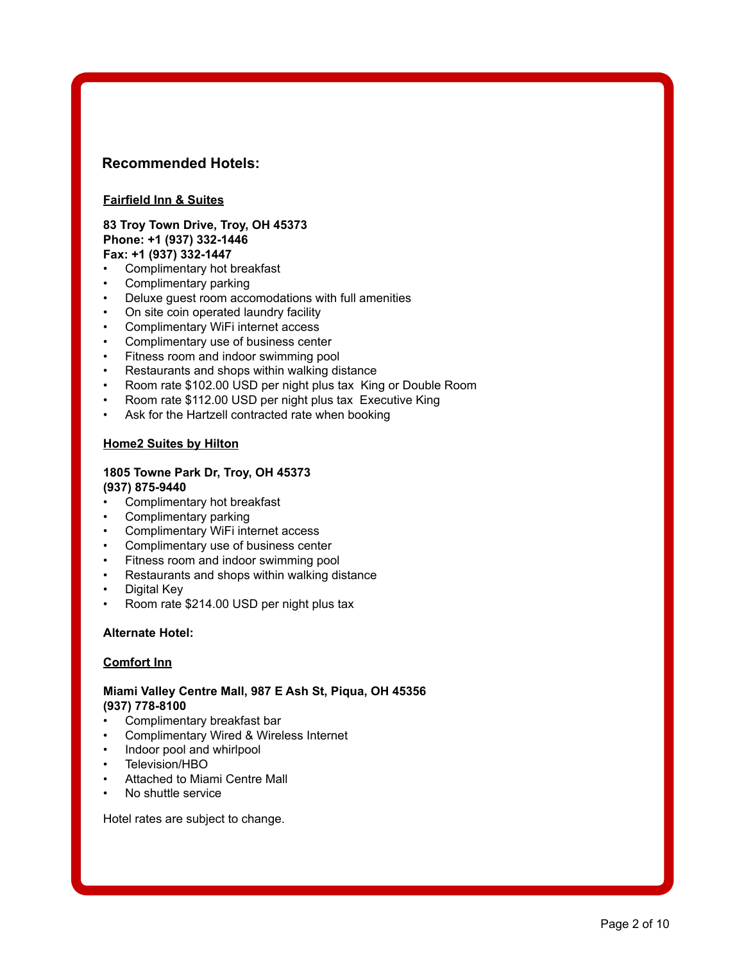# **Recommended Hotels:**

## **Fairfield Inn & Suites**

#### **83 Troy Town Drive, Troy, OH 45373 Phone: +1 (937) 332-1446 Fax: +1 (937) 332-1447**

- Complimentary hot breakfast
- Complimentary parking
- Deluxe guest room accomodations with full amenities
- On site coin operated laundry facility
- Complimentary WiFi internet access
- Complimentary use of business center
- Fitness room and indoor swimming pool
- Restaurants and shops within walking distance
- Room rate \$102.00 USD per night plus tax King or Double Room
- Room rate \$112.00 USD per night plus tax Executive King
- Ask for the Hartzell contracted rate when booking

### **Home2 Suites by Hilton**

#### **1805 Towne Park Dr, Troy, OH 45373 (937) 875-9440**

- Complimentary hot breakfast
- Complimentary parking
- Complimentary WiFi internet access
- Complimentary use of business center
- Fitness room and indoor swimming pool
- Restaurants and shops within walking distance
- Digital Key
- Room rate \$214.00 USD per night plus tax

#### **Alternate Hotel:**

#### **Comfort Inn**

## **Miami Valley Centre Mall, 987 E Ash St, Piqua, OH 45356 (937) 778-8100**

- Complimentary breakfast bar
- Complimentary Wired & Wireless Internet
- Indoor pool and whirlpool
- Television/HBO
- Attached to Miami Centre Mall
- No shuttle service

Hotel rates are subject to change.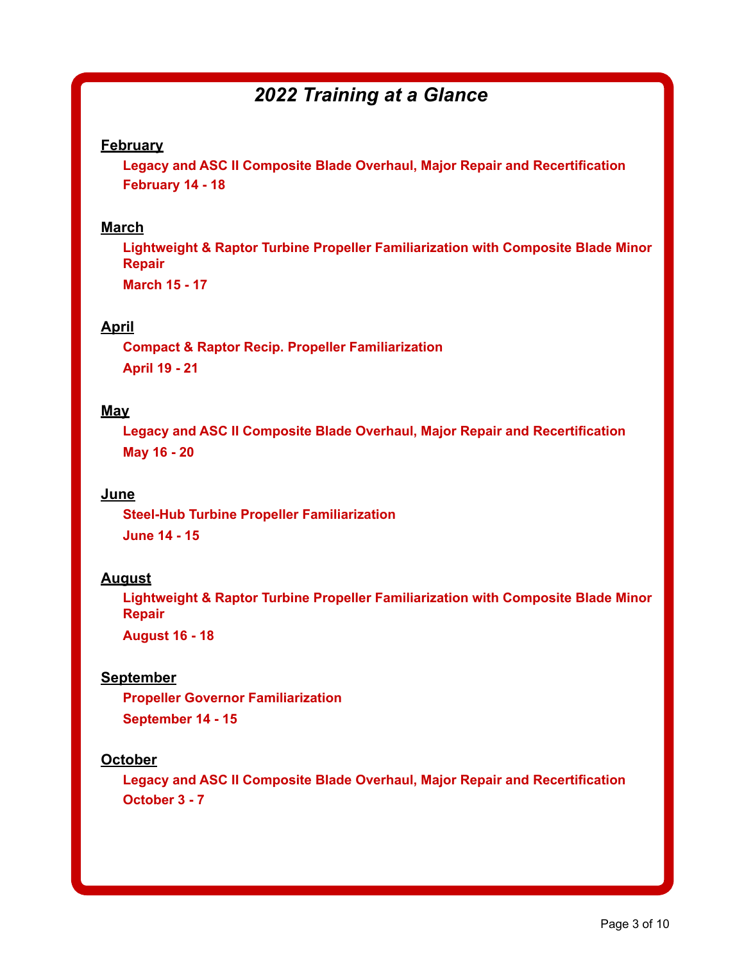# *2022 Training at a Glance*

# **February**

**Legacy and ASC II Composite Blade Overhaul, Major Repair and Recertification February 14 - 18**

# **March**

**Lightweight & Raptor Turbine Propeller Familiarization with Composite Blade Minor Repair**

**March 15 - 17**

# **April**

**Compact & Raptor Recip. Propeller Familiarization April 19 - 21**

# **May**

**Legacy and ASC II Composite Blade Overhaul, Major Repair and Recertification May 16 - 20**

# **June**

**Steel-Hub Turbine Propeller Familiarization June 14 - 15**

## **August**

**Lightweight & Raptor Turbine Propeller Familiarization with Composite Blade Minor Repair**

**August 16 - 18**

# **September**

**Propeller Governor Familiarization September 14 - 15**

# **October**

**Legacy and ASC II Composite Blade Overhaul, Major Repair and Recertification October 3 - 7**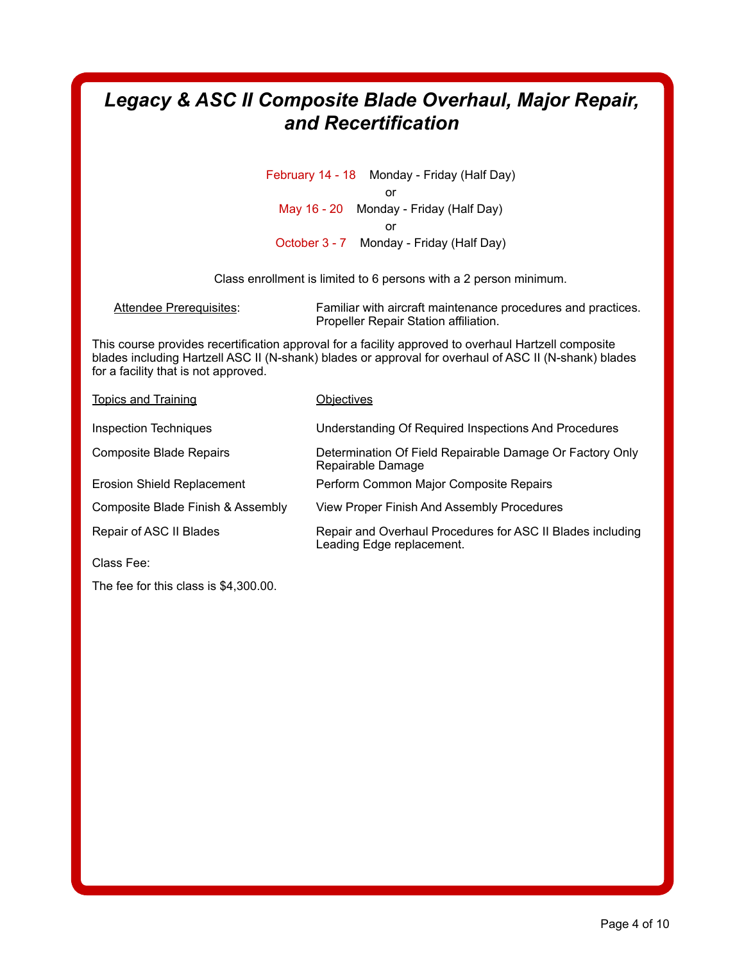# *Legacy & ASC II Composite Blade Overhaul, Major Repair, and Recertification*

February 14 - 18 Monday - Friday (Half Day) or May 16 - 20 Monday - Friday (Half Day) or October 3 - 7 Monday - Friday (Half Day)

Class enrollment is limited to 6 persons with a 2 person minimum.

Attendee Prerequisites: Familiar with aircraft maintenance procedures and practices. Propeller Repair Station affiliation.

This course provides recertification approval for a facility approved to overhaul Hartzell composite blades including Hartzell ASC II (N-shank) blades or approval for overhaul of ASC II (N-shank) blades for a facility that is not approved.

| <b>Topics and Training</b>        | <b>Objectives</b>                                                                       |
|-----------------------------------|-----------------------------------------------------------------------------------------|
| Inspection Techniques             | Understanding Of Required Inspections And Procedures                                    |
| Composite Blade Repairs           | Determination Of Field Repairable Damage Or Factory Only<br>Repairable Damage           |
| <b>Erosion Shield Replacement</b> | Perform Common Major Composite Repairs                                                  |
| Composite Blade Finish & Assembly | View Proper Finish And Assembly Procedures                                              |
| Repair of ASC II Blades           | Repair and Overhaul Procedures for ASC II Blades including<br>Leading Edge replacement. |
| Class Fee:                        |                                                                                         |

The fee for this class is \$4,300.00.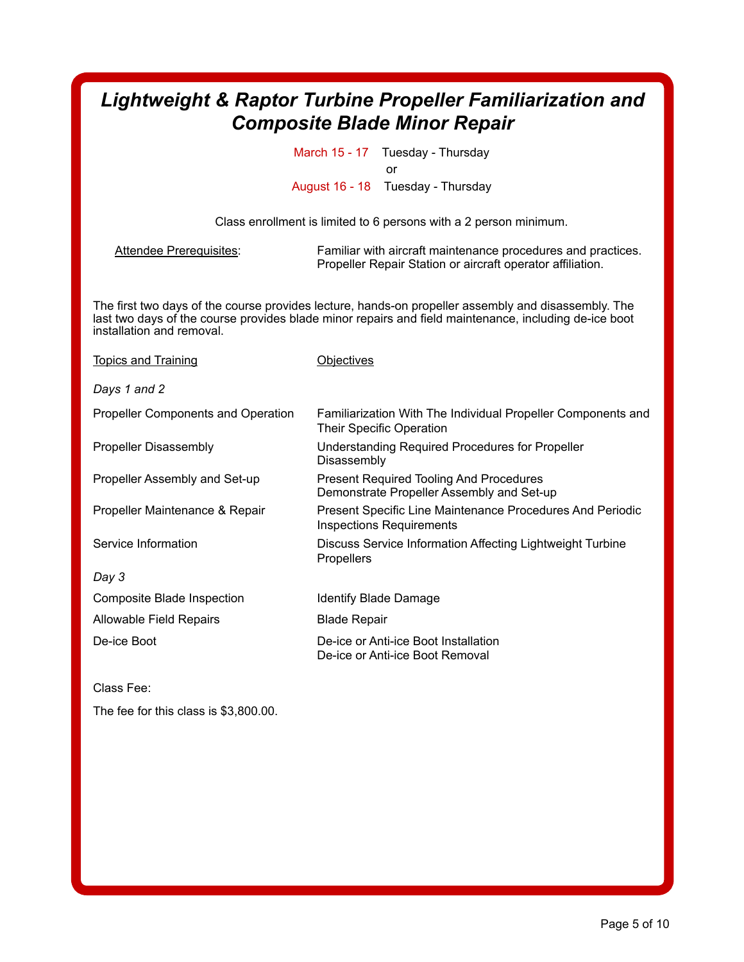# *Lightweight & Raptor Turbine Propeller Familiarization and Composite Blade Minor Repair*

March 15 - 17 Tuesday - Thursday or August 16 - 18 Tuesday - Thursday

Class enrollment is limited to 6 persons with a 2 person minimum.

Attendee Prerequisites: Familiar with aircraft maintenance procedures and practices. Propeller Repair Station or aircraft operator affiliation.

The first two days of the course provides lecture, hands-on propeller assembly and disassembly. The last two days of the course provides blade minor repairs and field maintenance, including de-ice boot installation and removal.

| <b>Topics and Training</b>                | <b>Objectives</b>                                                                            |
|-------------------------------------------|----------------------------------------------------------------------------------------------|
| Days 1 and 2                              |                                                                                              |
| <b>Propeller Components and Operation</b> | Familiarization With The Individual Propeller Components and<br>Their Specific Operation     |
| <b>Propeller Disassembly</b>              | Understanding Required Procedures for Propeller<br>Disassembly                               |
| Propeller Assembly and Set-up             | Present Required Tooling And Procedures<br>Demonstrate Propeller Assembly and Set-up         |
| Propeller Maintenance & Repair            | Present Specific Line Maintenance Procedures And Periodic<br><b>Inspections Requirements</b> |
| Service Information                       | Discuss Service Information Affecting Lightweight Turbine<br>Propellers                      |
| Day 3                                     |                                                                                              |
| Composite Blade Inspection                | Identify Blade Damage                                                                        |
| Allowable Field Repairs                   | <b>Blade Repair</b>                                                                          |
| De-ice Boot                               | De-ice or Anti-ice Boot Installation<br>De-ice or Anti-ice Boot Removal                      |

Class Fee:

The fee for this class is \$3,800.00.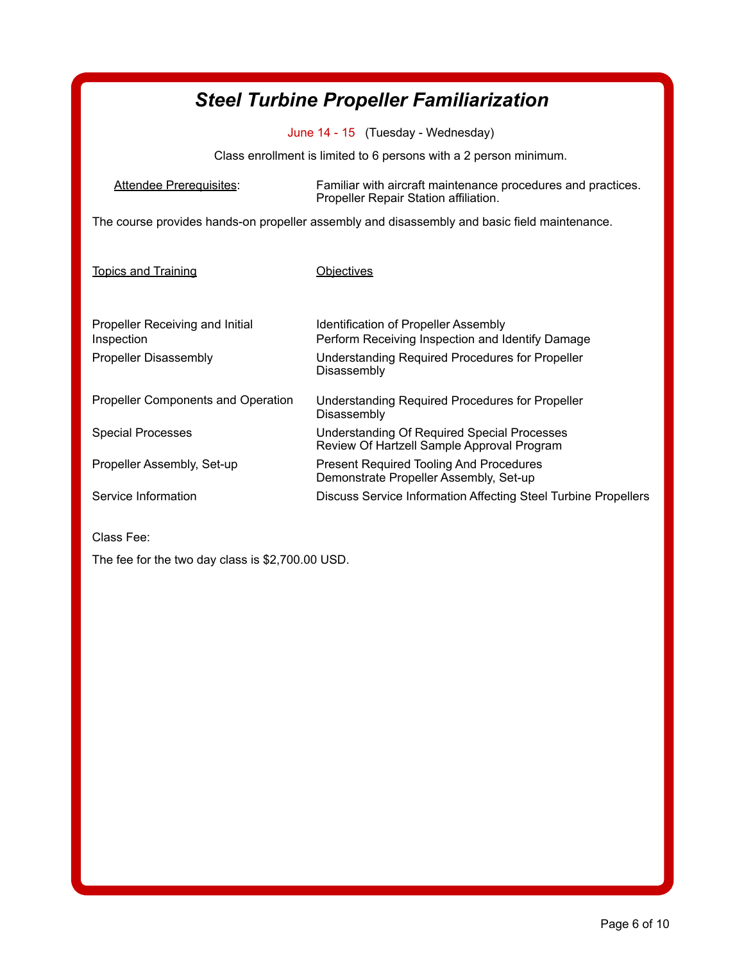| <b>Steel Turbine Propeller Familiarization</b>                                               |                                                                                                       |  |
|----------------------------------------------------------------------------------------------|-------------------------------------------------------------------------------------------------------|--|
| June 14 - 15 (Tuesday - Wednesday)                                                           |                                                                                                       |  |
| Class enrollment is limited to 6 persons with a 2 person minimum.                            |                                                                                                       |  |
| Attendee Prerequisites:                                                                      | Familiar with aircraft maintenance procedures and practices.<br>Propeller Repair Station affiliation. |  |
| The course provides hands-on propeller assembly and disassembly and basic field maintenance. |                                                                                                       |  |
| <b>Topics and Training</b>                                                                   | Obiectives                                                                                            |  |
| Propeller Receiving and Initial<br>Inspection                                                | <b>Identification of Propeller Assembly</b><br>Perform Receiving Inspection and Identify Damage       |  |
| <b>Propeller Disassembly</b>                                                                 | Understanding Required Procedures for Propeller<br>Disassembly                                        |  |
| <b>Propeller Components and Operation</b>                                                    | Understanding Required Procedures for Propeller<br>Disassembly                                        |  |
| <b>Special Processes</b>                                                                     | <b>Understanding Of Required Special Processes</b><br>Review Of Hartzell Sample Approval Program      |  |
| Propeller Assembly, Set-up                                                                   | <b>Present Required Tooling And Procedures</b><br>Demonstrate Propeller Assembly, Set-up              |  |
| Service Information                                                                          | Discuss Service Information Affecting Steel Turbine Propellers                                        |  |

Class Fee:

The fee for the two day class is \$2,700.00 USD.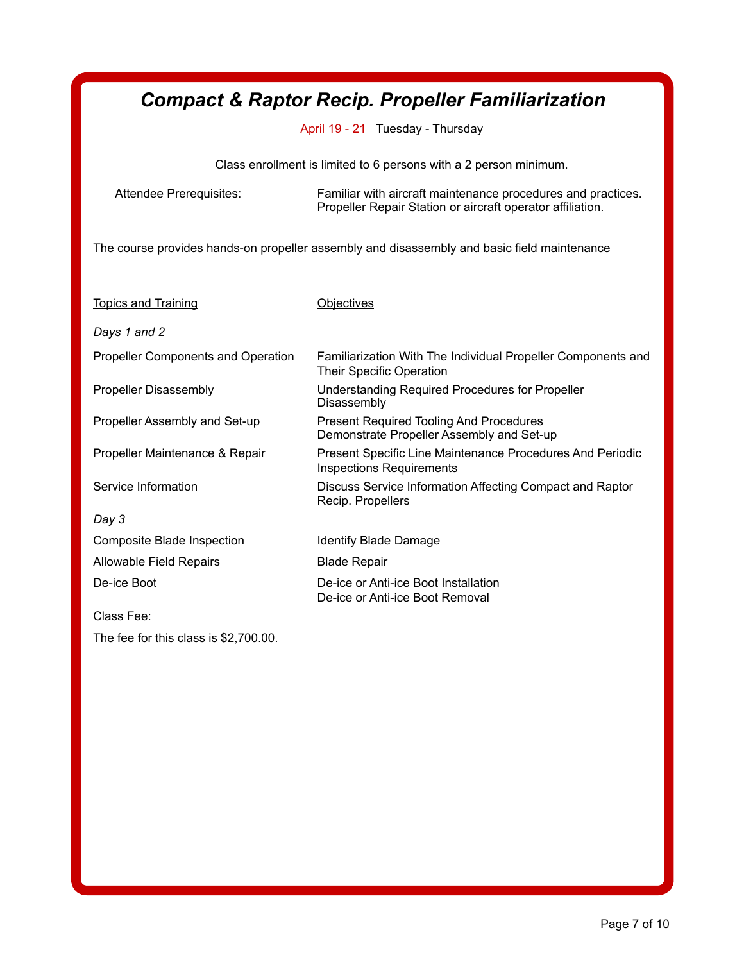# *Compact & Raptor Recip. Propeller Familiarization*

April 19 - 21 Tuesday - Thursday

Class enrollment is limited to 6 persons with a 2 person minimum.

Attendee Prerequisites: Familiar with aircraft maintenance procedures and practices. Propeller Repair Station or aircraft operator affiliation.

The course provides hands-on propeller assembly and disassembly and basic field maintenance

| <b>Topics and Training</b>                | <b>Objectives</b>                                                                                   |
|-------------------------------------------|-----------------------------------------------------------------------------------------------------|
| Days 1 and 2                              |                                                                                                     |
| <b>Propeller Components and Operation</b> | Familiarization With The Individual Propeller Components and<br><b>Their Specific Operation</b>     |
| <b>Propeller Disassembly</b>              | Understanding Required Procedures for Propeller<br>Disassembly                                      |
| Propeller Assembly and Set-up             | <b>Present Required Tooling And Procedures</b><br>Demonstrate Propeller Assembly and Set-up         |
| Propeller Maintenance & Repair            | <b>Present Specific Line Maintenance Procedures And Periodic</b><br><b>Inspections Requirements</b> |
| Service Information                       | Discuss Service Information Affecting Compact and Raptor<br>Recip. Propellers                       |
| Day 3                                     |                                                                                                     |
| <b>Composite Blade Inspection</b>         | Identify Blade Damage                                                                               |
| Allowable Field Repairs                   | <b>Blade Repair</b>                                                                                 |
| De-ice Boot                               | De-ice or Anti-ice Boot Installation<br>De-ice or Anti-ice Boot Removal                             |
| Class Fee:                                |                                                                                                     |
| The fee for this class is \$2,700.00.     |                                                                                                     |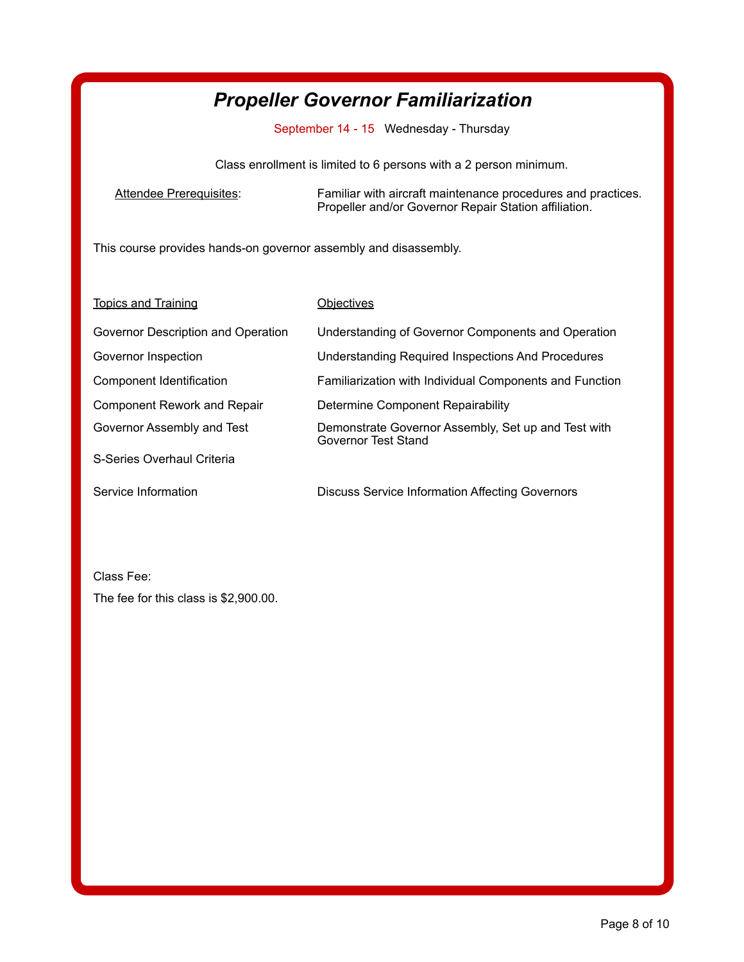# *Propeller Governor Familiarization*

September 14 - 15 Wednesday - Thursday

Class enrollment is limited to 6 persons with a 2 person minimum.

Attendee Prerequisites: Familiar with aircraft maintenance procedures and practices. Propeller and/or Governor Repair Station affiliation.

This course provides hands-on governor assembly and disassembly.

| <b>Topics and Training</b>         | Obiectives                                                                 |
|------------------------------------|----------------------------------------------------------------------------|
| Governor Description and Operation | Understanding of Governor Components and Operation                         |
| Governor Inspection                | <b>Understanding Required Inspections And Procedures</b>                   |
| Component Identification           | Familiarization with Individual Components and Function                    |
| <b>Component Rework and Repair</b> | Determine Component Repairability                                          |
| Governor Assembly and Test         | Demonstrate Governor Assembly, Set up and Test with<br>Governor Test Stand |
| S-Series Overhaul Criteria         |                                                                            |
| Service Information                | <b>Discuss Service Information Affecting Governors</b>                     |

Class Fee: The fee for this class is \$2,900.00.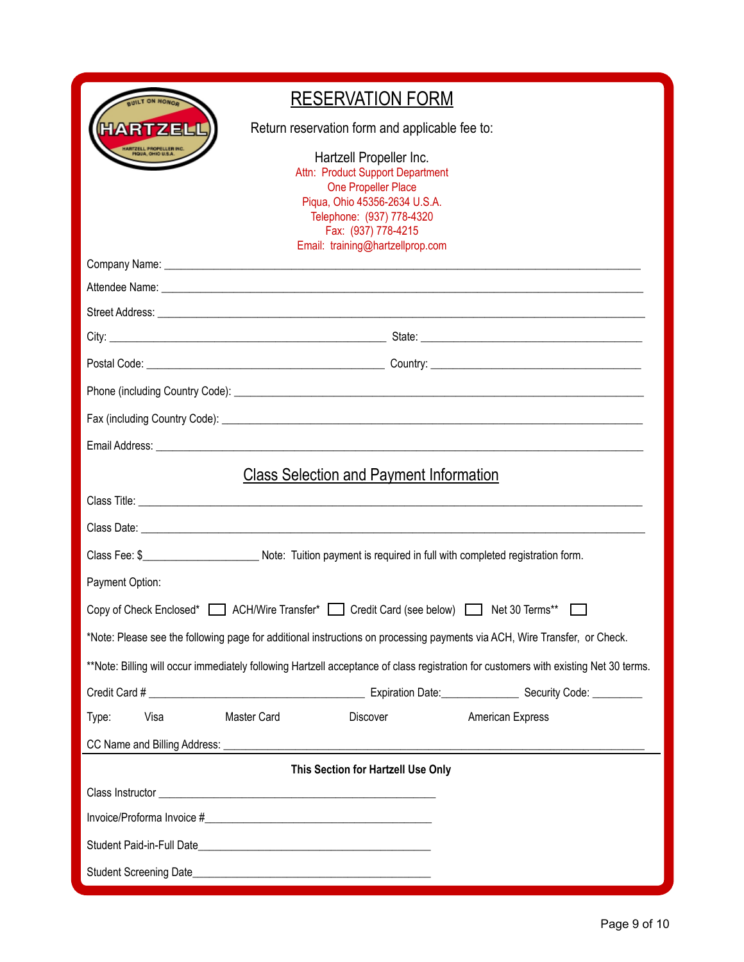| <b>RESERVATION FORM</b>                                                                                                                                                                                     |  |  |  |
|-------------------------------------------------------------------------------------------------------------------------------------------------------------------------------------------------------------|--|--|--|
| RTZELL<br>Return reservation form and applicable fee to:                                                                                                                                                    |  |  |  |
| Hartzell Propeller Inc.<br>Attn: Product Support Department<br>One Propeller Place<br>Piqua, Ohio 45356-2634 U.S.A.<br>Telephone: (937) 778-4320<br>Fax: (937) 778-4215<br>Email: training@hartzellprop.com |  |  |  |
|                                                                                                                                                                                                             |  |  |  |
|                                                                                                                                                                                                             |  |  |  |
|                                                                                                                                                                                                             |  |  |  |
|                                                                                                                                                                                                             |  |  |  |
|                                                                                                                                                                                                             |  |  |  |
|                                                                                                                                                                                                             |  |  |  |
|                                                                                                                                                                                                             |  |  |  |
|                                                                                                                                                                                                             |  |  |  |
| <b>Class Selection and Payment Information</b>                                                                                                                                                              |  |  |  |
|                                                                                                                                                                                                             |  |  |  |
|                                                                                                                                                                                                             |  |  |  |
| Class Fee: \$____________________________Note: Tuition payment is required in full with completed registration form.                                                                                        |  |  |  |
| Payment Option:                                                                                                                                                                                             |  |  |  |
| Copy of Check Enclosed* <b>CALCHIVE Transfer*</b> Credit Card (see below) Net 30 Terms**                                                                                                                    |  |  |  |
| *Note: Please see the following page for additional instructions on processing payments via ACH, Wire Transfer, or Check.                                                                                   |  |  |  |
| **Note: Billing will occur immediately following Hartzell acceptance of class registration for customers with existing Net 30 terms.                                                                        |  |  |  |
|                                                                                                                                                                                                             |  |  |  |
| Master Card<br>Visa<br>Discover<br>American Express<br>Type:                                                                                                                                                |  |  |  |
|                                                                                                                                                                                                             |  |  |  |
| This Section for Hartzell Use Only                                                                                                                                                                          |  |  |  |
|                                                                                                                                                                                                             |  |  |  |
|                                                                                                                                                                                                             |  |  |  |
|                                                                                                                                                                                                             |  |  |  |
|                                                                                                                                                                                                             |  |  |  |